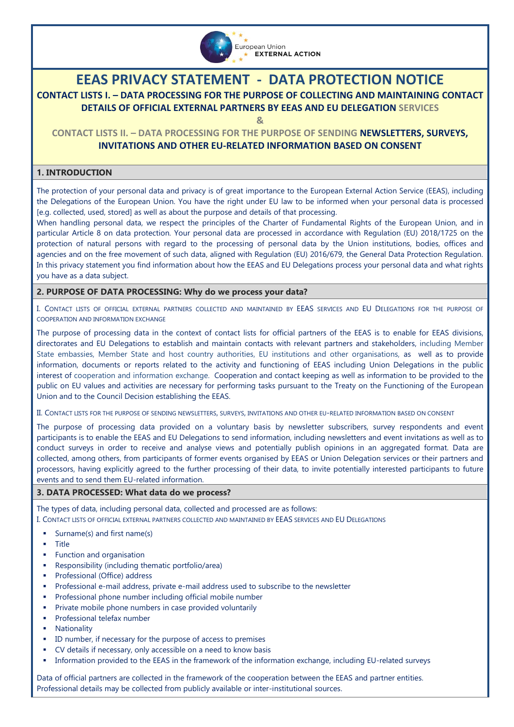

# **EEAS PRIVACY STATEMENT - DATA PROTECTION NOTICE**

# **CONTACT LISTS I. – DATA PROCESSING FOR THE PURPOSE OF COLLECTING AND MAINTAINING CONTACT DETAILS OF OFFICIAL EXTERNAL PARTNERS BY EEAS AND EU DELEGATION SERVICES**

**&**

# **CONTACT LISTS II. – DATA PROCESSING FOR THE PURPOSE OF SENDING NEWSLETTERS, SURVEYS, INVITATIONS AND OTHER EU-RELATED INFORMATION BASED ON CONSENT**

# **1. INTRODUCTION**

The protection of your personal data and privacy is of great importance to the European External Action Service (EEAS), including the Delegations of the European Union. You have the right under EU law to be informed when your personal data is processed [e.g. collected, used, stored] as well as about the purpose and details of that processing.

When handling personal data, we respect the principles of the Charter of Fundamental Rights of the European Union, and in particular Article 8 on data protection. Your personal data are processed in accordance with [Regulation \(EU\) 2018/1725 on the](https://eur-lex.europa.eu/legal-content/EN/TXT/?uri=CELEX%3A32018R1725)  [protection of natural persons with regard to the processing of personal data by the Union institutions, bodies, offices and](https://eur-lex.europa.eu/legal-content/EN/TXT/?uri=CELEX%3A32018R1725)  [agencies and on the free movement of such data,](https://eur-lex.europa.eu/legal-content/EN/TXT/?uri=CELEX%3A32018R1725) aligned with Regulation (EU) 2016/679, the General Data Protection Regulation. In this privacy statement you find information about how the EEAS and EU Delegations process your personal data and what rights you have as a data subject.

# **2. PURPOSE OF DATA PROCESSING: Why do we process your data?**

I. CONTACT LISTS OF OFFICIAL EXTERNAL PARTNERS COLLECTED AND MAINTAINED BY EEAS SERVICES AND EU DELEGATIONS FOR THE PURPOSE OF COOPERATION AND INFORMATION EXCHANGE

The purpose of processing data in the context of contact lists for official partners of the EEAS is to enable for EEAS divisions, directorates and EU Delegations to establish and maintain contacts with relevant partners and stakeholders, including Member State embassies, Member State and host country authorities, EU institutions and other organisations, as well as to provide information, documents or reports related to the activity and functioning of EEAS including Union Delegations in the public interest of cooperation and information exchange. Cooperation and contact keeping as well as information to be provided to the public on EU values and activities are necessary for performing tasks pursuant to the Treaty on the Functioning of the European Union and to the Council Decision establishing the EEAS.

II. CONTACT LISTS FOR THE PURPOSE OF SENDING NEWSLETTERS, SURVEYS, INVITATIONS AND OTHER EU-RELATED INFORMATION BASED ON CONSENT

The purpose of processing data provided on a voluntary basis by newsletter subscribers, survey respondents and event participants is to enable the EEAS and EU Delegations to send information, including newsletters and event invitations as well as to conduct surveys in order to receive and analyse views and potentially publish opinions in an aggregated format. Data are collected, among others, from participants of former events organised by EEAS or Union Delegation services or their partners and processors, having explicitly agreed to the further processing of their data, to invite potentially interested participants to future events and to send them EU-related information.

# **3. DATA PROCESSED: What data do we process?**

The types of data, including personal data, collected and processed are as follows:

I. CONTACT LISTS OF OFFICIAL EXTERNAL PARTNERS COLLECTED AND MAINTAINED BY EEAS SERVICES AND EU DELEGATIONS

- Surname(s) and first name(s)
- Title
- Function and organisation
- Responsibility (including thematic portfolio/area)
- Professional (Office) address
- Professional e-mail address, private e-mail address used to subscribe to the newsletter
- Professional phone number including official mobile number
- Private mobile phone numbers in case provided voluntarily
- **Professional telefax number**
- Nationality
- ID number, if necessary for the purpose of access to premises
- CV details if necessary, only accessible on a need to know basis
- Information provided to the EEAS in the framework of the information exchange, including EU-related surveys

Data of official partners are collected in the framework of the cooperation between the EEAS and partner entities. Professional details may be collected from publicly available or inter-institutional sources.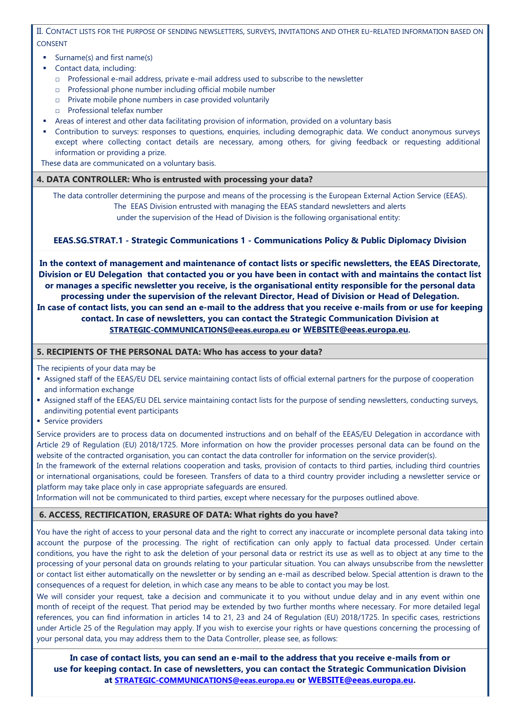II. CONTACT LISTS FOR THE PURPOSE OF SENDING NEWSLETTERS, SURVEYS, INVITATIONS AND OTHER EU-RELATED INFORMATION BASED ON CONSENT

- Surname(s) and first name(s)
- Contact data, including:
	- □ Professional e-mail address, private e-mail address used to subscribe to the newsletter
	- □ Professional phone number including official mobile number
	- □ Private mobile phone numbers in case provided voluntarily
	- □ Professional telefax number
- Areas of interest and other data facilitating provision of information, provided on a voluntary basis
- Contribution to surveys: responses to questions, enquiries, including demographic data. We conduct anonymous surveys except where collecting contact details are necessary, among others, for giving feedback or requesting additional information or providing a prize.

These data are communicated on a voluntary basis.

#### **4. DATA CONTROLLER: Who is entrusted with processing your data?**

The data controller determining the purpose and means of the processing is the European External Action Service (EEAS). The EEAS Division entrusted with managing the EEAS standard newsletters and alerts under the supervision of the Head of Division is the following organisational entity:

#### **EEAS.SG.STRAT.1 - Strategic Communications 1 - Communications Policy & Public Diplomacy Division**

**In the context of management and maintenance of contact lists or specific newsletters, the EEAS Directorate, Division or EU Delegation that contacted you or you have been in contact with and maintains the contact list or manages a specific newsletter you receive, is the organisational entity responsible for the personal data processing under the supervision of the relevant Director, Head of Division or Head of Delegation. In case of contact lists, you can send an e-mail to the address that you receive e-mails from or use for keeping contact. In case of newsletters, you can contact the Strategic Communication Division at [STRATEGIC-COMMUNICATIONS@eeas.europa.eu](mailto:STRATEGIC-COMMUNICATIONS@eeas.europa.eu) or [WEBSITE@eeas.europa.eu](mailto:WEBSITE@eeas.europa.eu).**

**5. RECIPIENTS OF THE PERSONAL DATA: Who has access to your data?**

The recipients of your data may be

- Assigned staff of the EEAS/EU DEL service maintaining contact lists of official external partners for the purpose of cooperation and information exchange
- Assigned staff of the EEAS/EU DEL service maintaining contact lists for the purpose of sending newsletters, conducting surveys, andinviting potential event participants
- **Service providers**

Service providers are to process data on documented instructions and on behalf of the EEAS/EU Delegation in accordance with Article 29 of Regulation (EU) 2018/1725. More information on how the provider processes personal data can be found on the website of the contracted organisation, you can contact the data controller for information on the service provider(s).

In the framework of the external relations cooperation and tasks, provision of contacts to third parties, including third countries or international organisations, could be foreseen. Transfers of data to a third country provider including a newsletter service or platform may take place only in case appropriate safeguards are ensured.

Information will not be communicated to third parties, except where necessary for the purposes outlined above.

# **6. ACCESS, RECTIFICATION, ERASURE OF DATA: What rights do you have?**

You have the right of access to your personal data and the right to correct any inaccurate or incomplete personal data taking into account the purpose of the processing. The right of rectification can only apply to factual data processed. Under certain conditions, you have the right to ask the deletion of your personal data or restrict its use as well as to object at any time to the processing of your personal data on grounds relating to your particular situation. You can always unsubscribe from the newsletter or contact list either automatically on the newsletter or by sending an e-mail as described below. Special attention is drawn to the consequences of a request for deletion, in which case any means to be able to contact you may be lost.

We will consider your request, take a decision and communicate it to you without undue delay and in any event within one month of receipt of the request. That period may be extended by two further months where necessary. For more detailed legal references, you can find information in articles 14 to 21, 23 and 24 of Regulation (EU) 2018/1725. In specific cases, restrictions under Article 25 of the Regulation may apply. If you wish to exercise your rights or have questions concerning the processing of your personal data, you may address them to the Data Controller, please see, as follows:

**In case of contact lists, you can send an e-mail to the address that you receive e-mails from or use for keeping contact. In case of newsletters, you can contact the Strategic Communication Division at [STRATEGIC-COMMUNICATIONS@eeas.europa.eu](mailto:STRATEGIC-COMMUNICATIONS@eeas.europa.eu) or [WEBSITE@eeas.europa.eu.](mailto:WEBSITE@eeas.europa.eu)**